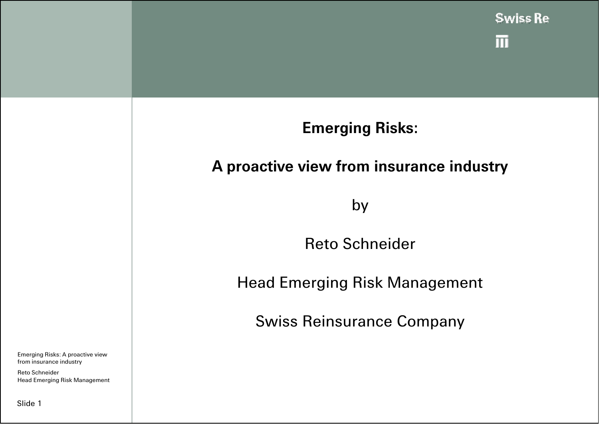

Emerging Risks: A proactive view from insurance industry

Reto Schneider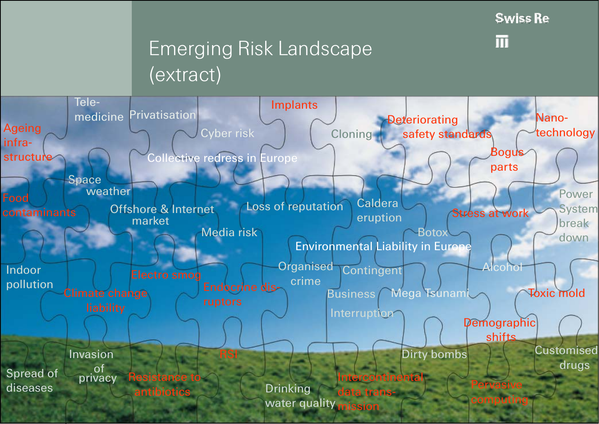**Swiss Re** 

 $\blacksquare$ 

## Emerging Risk Landscape (extract)

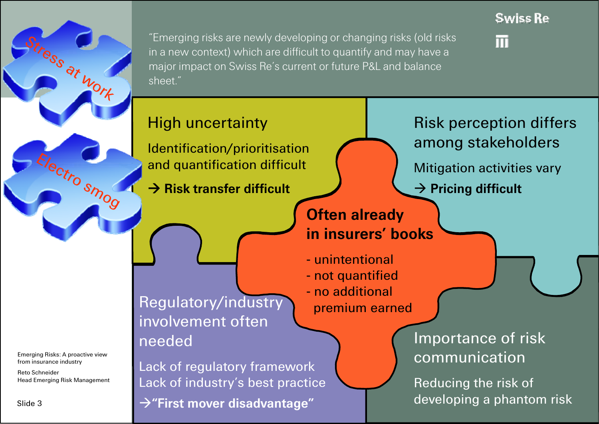

ilectro smog

"Emerging risks are newly developing or changing risks (old risks in a new context) which are difficult to quantify and may have a major impact on Swiss Re's current or future P&L and balance sheet."



lπi

and quantification difficult

 $\rightarrow$  **Risk transfer difficult** 

**Often already in insurers' books** 

- unintentional- not quantified - no additional

High uncertainty **Risk perception differs** Identification/prioritisation among stakeholders 

Mitigation activities vary

**→ Pricing difficult** 

Regulatory/industry premium earned involvement often needed

Lack of regulatory framework Lack of industry's best practice  $→$  **"First mover disadvantage"** 

Importance of risk communication

Reducing the risk of developing a phantom risk

Emerging Risks: A proactive view from insurance industry

Reto Schneider Head Emerging Risk Management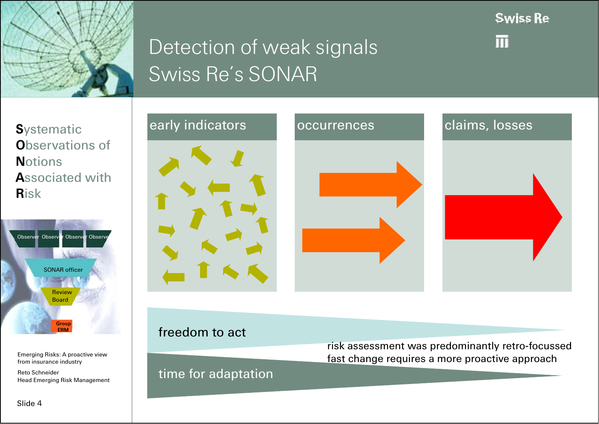

## Detection of weak signals Swiss Re's SONAR

**Swiss Re** 

lπi

**S**ystematic **O**bservations of **N**otions **A**ssociated with **R**isk



Emerging Risks: A proactive view from insurance industry

Head Emerging Risk Management



#### freedom to act

risk assessment was predominantly retro-focussed fast change requires a more proactive approach

#### Reto Schneider **Reto Schneider Reto Schneider time for adaptation**

Slide 4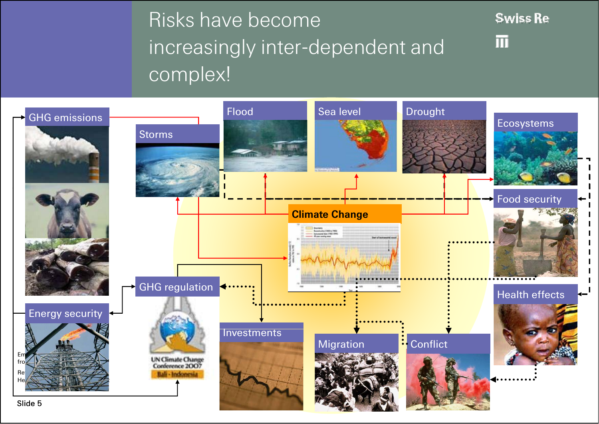# Risks have become increasingly inter-dependent and complex!



 $\blacksquare$ 

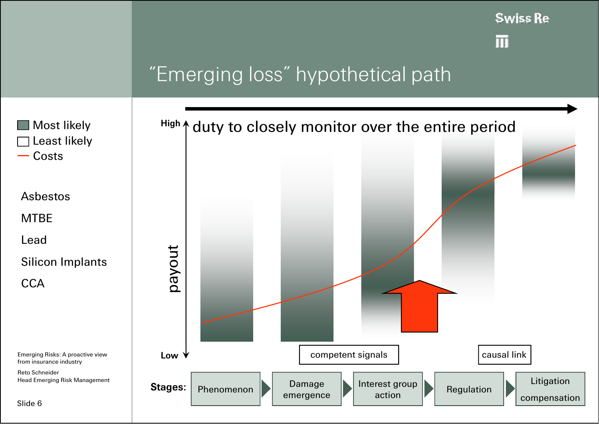

lπl

### "Emerging loss" hypothetical path

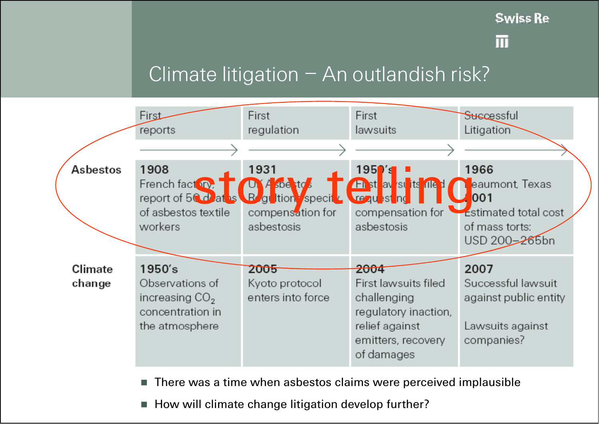**Swiss Re** 

lπi

#### Climate litigation – An outlandish risk?



П There was a time when asbestos claims were perceived implausible

× How will climate change litigation develop further?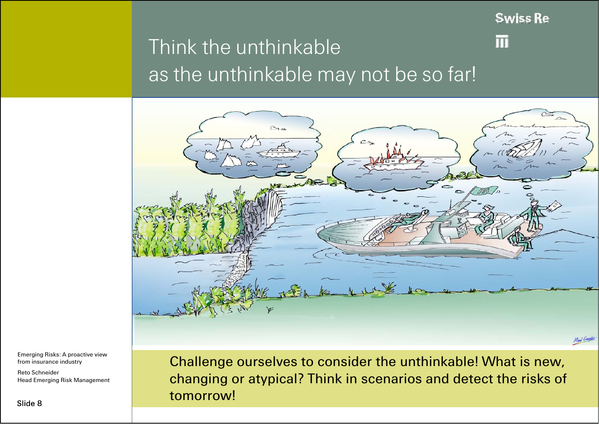**Swiss Re** 

lπi

### Think the unthinkableas the unthinkable may not be so far!



Emerging Risks: A proactive view from insurance industry

Reto Schneider

Challenge ourselves to consider the unthinkable! What is new, Head Emerging Risk Management **head Emerging Risk Management head Emerging Risk Management http://www.induckroop.com/induckroop/2010** and detect the risks of changing or atypical? Think in scenarios and detect the risks of<br>tomorrow!